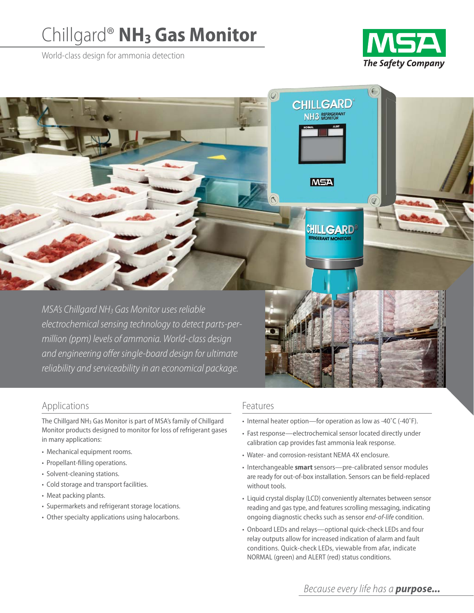# Chillgard® **NH3 Gas Monitor**

World-class design for ammonia detection



6

**CHILLGARD** NH3 REFRIGERANT

**MSA** 

CHILLGARD **EPANT MONITOR** 

MSA's Chillgard NH3 Gas Monitor uses reliable electrochemical sensing technology to detect parts-permillion (ppm) levels of ammonia. World-class design and engineering offer single-board design for ultimate reliability and serviceability in an economical package.

# Applications

The Chillgard NH3 Gas Monitor is part of MSA's family of Chillgard Monitor products designed to monitor for loss of refrigerant gases in many applications:

- Mechanical equipment rooms.
- Propellant-filling operations.
- Solvent-cleaning stations.
- Cold storage and transport facilities.
- Meat packing plants.
- Supermarkets and refrigerant storage locations.
- Other specialty applications using halocarbons.

### Features

- Internal heater option—for operation as low as -40˚C (-40˚F).
- Fast response—electrochemical sensor located directly under calibration cap provides fast ammonia leak response.
- Water- and corrosion-resistant NEMA 4X enclosure.
- Interchangeable **smart** sensors—pre-calibrated sensor modules are ready for out-of-box installation. Sensors can be field-replaced without tools.
- Liquid crystal display (LCD) conveniently alternates between sensor reading and gas type, and features scrolling messaging, indicating ongoing diagnostic checks such as sensor *end-of-life* condition.
- Onboard LEDs and relays—optional quick-check LEDs and four relay outputs allow for increased indication of alarm and fault conditions. Quick-check LEDs, viewable from afar, indicate NORMAL (green) and ALERT (red) status conditions.